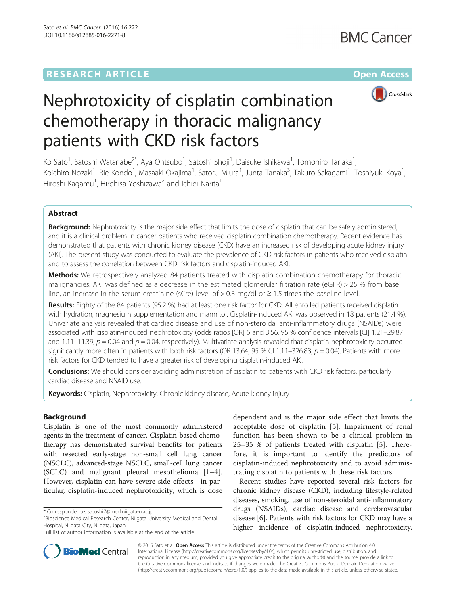## **RESEARCH ARTICLE External Structure Community Community Community Community Community Community Community Community**



# Nephrotoxicity of cisplatin combination chemotherapy in thoracic malignancy patients with CKD risk factors

Ko Sato<sup>1</sup>, Satoshi Watanabe<sup>2\*</sup>, Aya Ohtsubo<sup>1</sup>, Satoshi Shoji<sup>1</sup>, Daisuke Ishikawa<sup>1</sup>, Tomohiro Tanaka<sup>1</sup> , Koichiro Nozaki<sup>1</sup>, Rie Kondo<sup>1</sup>, Masaaki Okajima<sup>1</sup>, Satoru Miura<sup>1</sup>, Junta Tanaka<sup>3</sup>, Takuro Sakagami<sup>1</sup>, Toshiyuki Koya<sup>1</sup> , Hiroshi Kagamu<sup>1</sup>, Hirohisa Yoshizawa<sup>2</sup> and Ichiei Narita<sup>1</sup>

### Abstract

**Background:** Nephrotoxicity is the major side effect that limits the dose of cisplatin that can be safely administered, and it is a clinical problem in cancer patients who received cisplatin combination chemotherapy. Recent evidence has demonstrated that patients with chronic kidney disease (CKD) have an increased risk of developing acute kidney injury (AKI). The present study was conducted to evaluate the prevalence of CKD risk factors in patients who received cisplatin and to assess the correlation between CKD risk factors and cisplatin-induced AKI.

Methods: We retrospectively analyzed 84 patients treated with cisplatin combination chemotherapy for thoracic malignancies. AKI was defined as a decrease in the estimated glomerular filtration rate (eGFR) > 25 % from base line, an increase in the serum creatinine (sCre) level of  $> 0.3$  mg/dl or  $\geq 1.5$  times the baseline level.

Results: Eighty of the 84 patients (95.2 %) had at least one risk factor for CKD. All enrolled patients received cisplatin with hydration, magnesium supplementation and mannitol. Cisplatin-induced AKI was observed in 18 patients (21.4 %). Univariate analysis revealed that cardiac disease and use of non-steroidal anti-inflammatory drugs (NSAIDs) were associated with cisplatin-induced nephrotoxicity (odds ratios [OR] 6 and 3.56, 95 % confidence intervals [CI] 1.21–29.87 and 1.11–11.39,  $p = 0.04$  and  $p = 0.04$ , respectively). Multivariate analysis revealed that cisplatin nephrotoxicity occurred significantly more often in patients with both risk factors (OR 13.64, 95 % CI 1.11–326.83,  $p = 0.04$ ). Patients with more risk factors for CKD tended to have a greater risk of developing cisplatin-induced AKI.

Conclusions: We should consider avoiding administration of cisplatin to patients with CKD risk factors, particularly cardiac disease and NSAID use.

Keywords: Cisplatin, Nephrotoxicity, Chronic kidney disease, Acute kidney injury

#### Background

Cisplatin is one of the most commonly administered agents in the treatment of cancer. Cisplatin-based chemotherapy has demonstrated survival benefits for patients with resected early-stage non-small cell lung cancer (NSCLC), advanced-stage NSCLC, small-cell lung cancer (SCLC) and malignant pleural mesothelioma [\[1](#page-5-0)–[4](#page-5-0)]. However, cisplatin can have severe side effects—in particular, cisplatin-induced nephrotoxicity, which is dose

dependent and is the major side effect that limits the acceptable dose of cisplatin [[5](#page-5-0)]. Impairment of renal function has been shown to be a clinical problem in 25–35 % of patients treated with cisplatin [\[5](#page-5-0)]. Therefore, it is important to identify the predictors of cisplatin-induced nephrotoxicity and to avoid administrating cisplatin to patients with these risk factors.

Recent studies have reported several risk factors for chronic kidney disease (CKD), including lifestyle-related diseases, smoking, use of non-steroidal anti-inflammatory drugs (NSAIDs), cardiac disease and cerebrovascular disease [[6\]](#page-5-0). Patients with risk factors for CKD may have a higher incidence of cisplatin-induced nephrotoxicity.



© 2016 Sato et al. Open Access This article is distributed under the terms of the Creative Commons Attribution 4.0 International License [\(http://creativecommons.org/licenses/by/4.0/](http://creativecommons.org/licenses/by/4.0/)), which permits unrestricted use, distribution, and reproduction in any medium, provided you give appropriate credit to the original author(s) and the source, provide a link to the Creative Commons license, and indicate if changes were made. The Creative Commons Public Domain Dedication waiver [\(http://creativecommons.org/publicdomain/zero/1.0/](http://creativecommons.org/publicdomain/zero/1.0/)) applies to the data made available in this article, unless otherwise stated.

<sup>\*</sup> Correspondence: [satoshi7@med.niigata-u.ac.jp](mailto:satoshi7@med.niigata-u.ac.jp) <sup>2</sup>

 $2$ Bioscience Medical Research Center, Niigata University Medical and Dental Hospital, Niigata City, Niigata, Japan

Full list of author information is available at the end of the article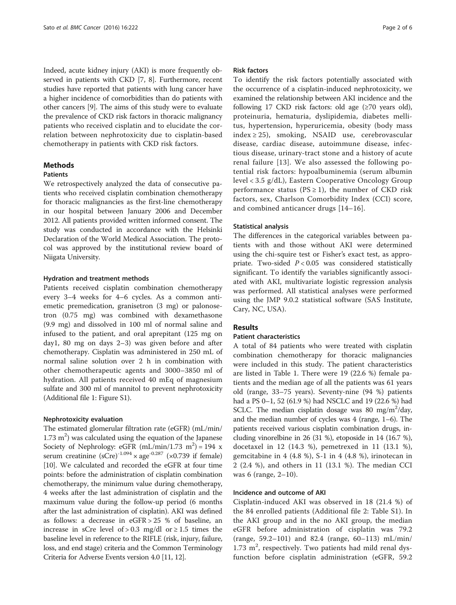Indeed, acute kidney injury (AKI) is more frequently observed in patients with CKD [\[7, 8](#page-5-0)]. Furthermore, recent studies have reported that patients with lung cancer have a higher incidence of comorbidities than do patients with other cancers [\[9](#page-5-0)]. The aims of this study were to evaluate the prevalence of CKD risk factors in thoracic malignancy patients who received cisplatin and to elucidate the correlation between nephrotoxicity due to cisplatin-based chemotherapy in patients with CKD risk factors.

#### Methods

#### Patients

We retrospectively analyzed the data of consecutive patients who received cisplatin combination chemotherapy for thoracic malignancies as the first-line chemotherapy in our hospital between January 2006 and December 2012. All patients provided written informed consent. The study was conducted in accordance with the Helsinki Declaration of the World Medical Association. The protocol was approved by the institutional review board of Niigata University.

#### Hydration and treatment methods

Patients received cisplatin combination chemotherapy every 3–4 weeks for 4–6 cycles. As a common antiemetic premedication, granisetron (3 mg) or palonosetron (0.75 mg) was combined with dexamethasone (9.9 mg) and dissolved in 100 ml of normal saline and infused to the patient, and oral aprepitant (125 mg on day1, 80 mg on days 2–3) was given before and after chemotherapy. Cisplatin was administered in 250 mL of normal saline solution over 2 h in combination with other chemotherapeutic agents and 3000–3850 ml of hydration. All patients received 40 mEq of magnesium sulfate and 300 ml of mannitol to prevent nephrotoxicity (Additional file [1](#page-5-0): Figure S1).

#### Nephrotoxicity evaluation

The estimated glomerular filtration rate (eGFR) (mL/min/  $1.73 \text{ m}^2$ ) was calculated using the equation of the Japanese Society of Nephrology: eGFR  $(mL/min/1.73 \text{ m}^2) = 194 \text{ x}$ serum creatinine  $(sCre)^{-1.094}$  × age<sup>-0.287</sup> (×0.739 if female) [[10](#page-5-0)]. We calculated and recorded the eGFR at four time points: before the administration of cisplatin combination chemotherapy, the minimum value during chemotherapy, 4 weeks after the last administration of cisplatin and the maximum value during the follow-up period (6 months after the last administration of cisplatin). AKI was defined as follows: a decrease in eGFR > 25 % of baseline, an increase in sCre level of > 0.3 mg/dl or  $\geq 1.5$  times the baseline level in reference to the RIFLE (risk, injury, failure, loss, and end stage) criteria and the Common Terminology Criteria for Adverse Events version 4.0 [\[11, 12\]](#page-5-0).

#### Risk factors

To identify the risk factors potentially associated with the occurrence of a cisplatin-induced nephrotoxicity, we examined the relationship between AKI incidence and the following 17 CKD risk factors: old age (≥70 years old), proteinuria, hematuria, dyslipidemia, diabetes mellitus, hypertension, hyperuricemia, obesity (body mass  $index \ge 25$ , smoking, NSAID use, cerebrovascular disease, cardiac disease, autoimmune disease, infectious disease, urinary-tract stone and a history of acute renal failure [[13\]](#page-5-0). We also assessed the following potential risk factors: hypoalbuminemia (serum albumin level < 3.5 g/dL), Eastern Cooperative Oncology Group performance status ( $PS \geq 1$ ), the number of CKD risk factors, sex, Charlson Comorbidity Index (CCI) score, and combined anticancer drugs [\[14](#page-5-0)–[16\]](#page-5-0).

#### Statistical analysis

The differences in the categorical variables between patients with and those without AKI were determined using the chi-squire test or Fisher's exact test, as appropriate. Two-sided  $P < 0.05$  was considered statistically significant. To identify the variables significantly associated with AKI, multivariate logistic regression analysis was performed. All statistical analyses were performed using the JMP 9.0.2 statistical software (SAS Institute, Cary, NC, USA).

#### Results

#### Patient characteristics

A total of 84 patients who were treated with cisplatin combination chemotherapy for thoracic malignancies were included in this study. The patient characteristics are listed in Table [1](#page-2-0). There were 19 (22.6 %) female patients and the median age of all the patients was 61 years old (range, 33–75 years). Seventy-nine (94 %) patients had a PS 0–1, 52 (61.9 %) had NSCLC and 19 (22.6 %) had SCLC. The median cisplatin dosage was 80 mg/m<sup>2</sup>/day, and the median number of cycles was 4 (range, 1–6). The patients received various cisplatin combination drugs, including vinorelbine in 26 (31 %), etoposide in 14 (16.7 %), docetaxel in 12 (14.3 %), pemetrexed in 11 (13.1 %), gemcitabine in 4 (4.8 %), S-1 in 4 (4.8 %), irinotecan in 2 (2.4 %), and others in 11 (13.1 %). The median CCI was 6 (range, 2–10).

#### Incidence and outcome of AKI

Cisplatin-induced AKI was observed in 18 (21.4 %) of the 84 enrolled patients (Additional file [2:](#page-5-0) Table S1). In the AKI group and in the no AKI group, the median eGFR before administration of cisplatin was 79.2 (range, 59.2–101) and 82.4 (range, 60–113) mL/min/  $1.73 \text{ m}^2$ , respectively. Two patients had mild renal dysfunction before cisplatin administration (eGFR, 59.2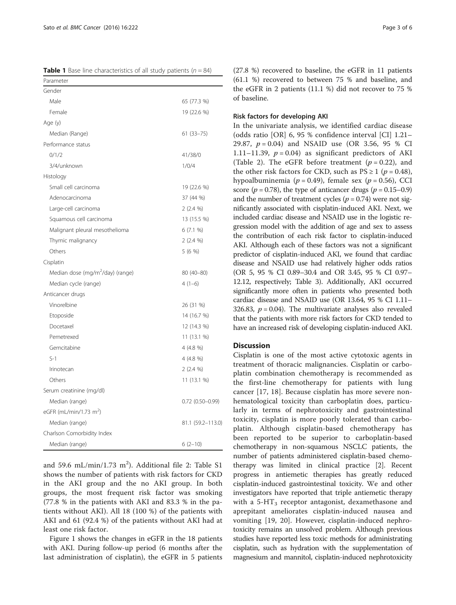<span id="page-2-0"></span>**Table 1** Base line characteristics of all study patients  $(n = 84)$ 

| Parameter                                    |                   |
|----------------------------------------------|-------------------|
| Gender                                       |                   |
| Male                                         | 65 (77.3 %)       |
| Female                                       | 19 (22.6 %)       |
| Age (y)                                      |                   |
| Median (Range)                               | $61(33 - 75)$     |
| Performance status                           |                   |
| 0/1/2                                        | 41/38/0           |
| 3/4/unknown                                  | 1/0/4             |
| Histology                                    |                   |
| Small cell carcinoma                         | 19 (22.6 %)       |
| Adenocarcinoma                               | 37 (44 %)         |
| Large-cell carcinoma                         | $2(2.4\%)$        |
| Squamous cell carcinoma                      | 13 (15.5 %)       |
| Malignant pleural mesothelioma               | 6(7.1%            |
| Thymic malignancy                            | $2(2.4\%)$        |
| Others                                       | 5 (6 %)           |
| Cisplatin                                    |                   |
| Median dose (mg/m <sup>2</sup> /day) (range) | $80(40-80)$       |
| Median cycle (range)                         | $4(1-6)$          |
| Anticancer drugs                             |                   |
| Vinorelbine                                  | 26 (31 %)         |
| Etoposide                                    | 14 (16.7 %)       |
| Docetaxel                                    | 12 (14.3 %)       |
| Pemetrexed                                   | 11 (13.1 %)       |
| Gemcitabine                                  | 4 (4.8 %)         |
| $S-1$                                        | $4(4.8\%)$        |
| Irinotecan                                   | $2(2.4\%)$        |
| Others                                       | 11 (13.1 %)       |
| Serum creatinine (mg/dl)                     |                   |
| Median (range)                               | $0.72(0.50-0.99)$ |
| eGFR (mL/min/1.73 m <sup>2</sup> )           |                   |
| Median (range)                               | 81.1 (59.2–113.0) |
| Charlson Comorbidity Index                   |                   |
| Median (range)                               | $6(2-10)$         |

and 59.6 mL/min/1.73  $m^2$ ). Additional file [2:](#page-5-0) Table S1 shows the number of patients with risk factors for CKD in the AKI group and the no AKI group. In both groups, the most frequent risk factor was smoking (77.8 % in the patients with AKI and 83.3 % in the patients without AKI). All 18 (100 %) of the patients with AKI and 61 (92.4 %) of the patients without AKI had at least one risk factor.

Figure [1](#page-3-0) shows the changes in eGFR in the 18 patients with AKI. During follow-up period (6 months after the last administration of cisplatin), the eGFR in 5 patients (27.8 %) recovered to baseline, the eGFR in 11 patients (61.1 %) recovered to between 75 % and baseline, and the eGFR in 2 patients (11.1 %) did not recover to 75 % of baseline.

#### Risk factors for developing AKI

In the univariate analysis, we identified cardiac disease (odds ratio [OR] 6, 95 % confidence interval [CI] 1.21– 29.87,  $p = 0.04$ ) and NSAID use (OR 3.56, 95 % CI 1.11–11.39,  $p = 0.04$ ) as significant predictors of AKI (Table [2\)](#page-4-0). The eGFR before treatment  $(p = 0.22)$ , and the other risk factors for CKD, such as  $PS \ge 1$  ( $p = 0.48$ ), hypoalbuminemia ( $p = 0.49$ ), female sex ( $p = 0.56$ ), CCI score ( $p = 0.78$ ), the type of anticancer drugs ( $p = 0.15-0.9$ ) and the number of treatment cycles ( $p = 0.74$ ) were not significantly associated with cisplatin-induced AKI. Next, we included cardiac disease and NSAID use in the logistic regression model with the addition of age and sex to assess the contribution of each risk factor to cisplatin-induced AKI. Although each of these factors was not a significant predictor of cisplatin-induced AKI, we found that cardiac disease and NSAID use had relatively higher odds ratios (OR 5, 95 % CI 0.89–30.4 and OR 3.45, 95 % CI 0.97– 12.12, respectively; Table [3\)](#page-4-0). Additionally, AKI occurred significantly more often in patients who presented both cardiac disease and NSAID use (OR 13.64, 95 % CI 1.11– 326.83,  $p = 0.04$ ). The multivariate analyses also revealed that the patients with more risk factors for CKD tended to have an increased risk of developing cisplatin-induced AKI.

#### **Discussion**

Cisplatin is one of the most active cytotoxic agents in treatment of thoracic malignancies. Cisplatin or carboplatin combination chemotherapy is recommended as the first-line chemotherapy for patients with lung cancer [[17](#page-5-0), [18](#page-5-0)]. Because cisplatin has more severe nonhematological toxicity than carboplatin does, particularly in terms of nephrotoxicity and gastrointestinal toxicity, cisplatin is more poorly tolerated than carboplatin. Although cisplatin-based chemotherapy has been reported to be superior to carboplatin-based chemotherapy in non-squamous NSCLC patients, the number of patients administered cisplatin-based chemotherapy was limited in clinical practice [[2](#page-5-0)]. Recent progress in antiemetic therapies has greatly reduced cisplatin-induced gastrointestinal toxicity. We and other investigators have reported that triple antiemetic therapy with a  $5-HT_3$  receptor antagonist, dexamethasone and aprepitant ameliorates cisplatin-induced nausea and vomiting [\[19](#page-5-0), [20](#page-5-0)]. However, cisplatin-induced nephrotoxicity remains an unsolved problem. Although previous studies have reported less toxic methods for administrating cisplatin, such as hydration with the supplementation of magnesium and mannitol, cisplatin-induced nephrotoxicity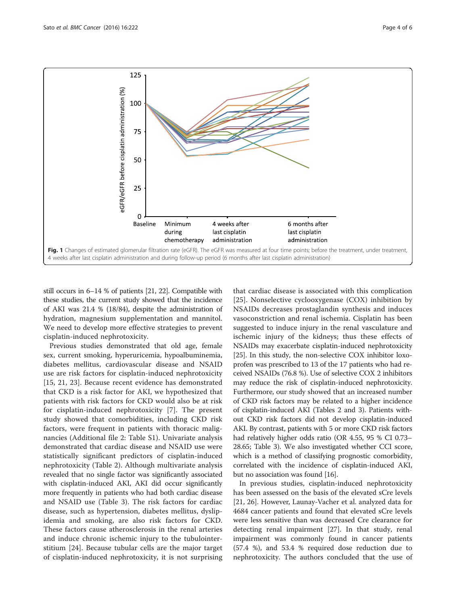<span id="page-3-0"></span>

still occurs in 6–14 % of patients [[21](#page-5-0), [22\]](#page-5-0). Compatible with these studies, the current study showed that the incidence of AKI was 21.4 % (18/84), despite the administration of hydration, magnesium supplementation and mannitol. We need to develop more effective strategies to prevent cisplatin-induced nephrotoxicity.

Previous studies demonstrated that old age, female sex, current smoking, hyperuricemia, hypoalbuminemia, diabetes mellitus, cardiovascular disease and NSAID use are risk factors for cisplatin-induced nephrotoxicity [[15, 21, 23](#page-5-0)]. Because recent evidence has demonstrated that CKD is a risk factor for AKI, we hypothesized that patients with risk factors for CKD would also be at risk for cisplatin-induced nephrotoxicity [\[7](#page-5-0)]. The present study showed that comorbidities, including CKD risk factors, were frequent in patients with thoracic malignancies (Additional file [2](#page-5-0): Table S1). Univariate analysis demonstrated that cardiac disease and NSAID use were statistically significant predictors of cisplatin-induced nephrotoxicity (Table [2](#page-4-0)). Although multivariate analysis revealed that no single factor was significantly associated with cisplatin-induced AKI, AKI did occur significantly more frequently in patients who had both cardiac disease and NSAID use (Table [3](#page-4-0)). The risk factors for cardiac disease, such as hypertension, diabetes mellitus, dyslipidemia and smoking, are also risk factors for CKD. These factors cause atherosclerosis in the renal arteries and induce chronic ischemic injury to the tubulointerstitium [[24](#page-5-0)]. Because tubular cells are the major target of cisplatin-induced nephrotoxicity, it is not surprising

that cardiac disease is associated with this complication [[25\]](#page-5-0). Nonselective cyclooxygenase (COX) inhibition by NSAIDs decreases prostaglandin synthesis and induces vasoconstriction and renal ischemia. Cisplatin has been suggested to induce injury in the renal vasculature and ischemic injury of the kidneys; thus these effects of NSAIDs may exacerbate cisplatin-induced nephrotoxicity [[25](#page-5-0)]. In this study, the non-selective COX inhibitor loxoprofen was prescribed to 13 of the 17 patients who had received NSAIDs (76.8 %). Use of selective COX 2 inhibitors may reduce the risk of cisplatin-induced nephrotoxicity. Furthermore, our study showed that an increased number of CKD risk factors may be related to a higher incidence of cisplatin-induced AKI (Tables [2](#page-4-0) and [3](#page-4-0)). Patients without CKD risk factors did not develop cisplatin-induced AKI. By contrast, patients with 5 or more CKD risk factors had relatively higher odds ratio (OR 4.55, 95 % CI 0.73– 28.65; Table [3](#page-4-0)). We also investigated whether CCI score, which is a method of classifying prognostic comorbidity, correlated with the incidence of cisplatin-induced AKI, but no association was found [[16](#page-5-0)].

In previous studies, cisplatin-induced nephrotoxicity has been assessed on the basis of the elevated sCre levels [[21, 26\]](#page-5-0). However, Launay-Vacher et al. analyzed data for 4684 cancer patients and found that elevated sCre levels were less sensitive than was decreased Cre clearance for detecting renal impairment [[27\]](#page-5-0). In that study, renal impairment was commonly found in cancer patients (57.4 %), and 53.4 % required dose reduction due to nephrotoxicity. The authors concluded that the use of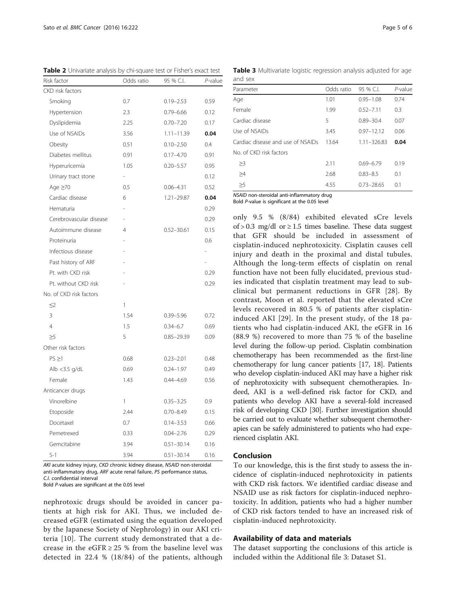| <b>TWHE 2</b> OTTRanace analysis by ChrisQuare test Of Tisher's exact test<br>Risk factor | Odds ratio               | 95 % C.I.      | $P$ -value               |
|-------------------------------------------------------------------------------------------|--------------------------|----------------|--------------------------|
| CKD risk factors                                                                          |                          |                |                          |
| Smoking                                                                                   | 0.7                      | $0.19 - 2.53$  | 0.59                     |
| Hypertension                                                                              | 2.3                      | $0.79 - 6.66$  | 0.12                     |
| Dyslipidemia                                                                              | 2.25                     | $0.70 - 7.20$  | 0.17                     |
| Use of NSAIDs                                                                             | 3.56                     | $1.11 - 11.39$ | 0.04                     |
| Obesity                                                                                   | 0.51                     | $0.10 - 2.50$  | 0.4                      |
| Diabetes mellitus                                                                         | 0.91                     | $0.17 - 4.70$  | 0.91                     |
| Hyperuricemia                                                                             | 1.05                     | $0.20 - 5.57$  | 0.95                     |
| Urinary tract stone                                                                       | $\overline{\phantom{0}}$ |                | 0.12                     |
| Age $\geq 70$                                                                             | 0.5                      | $0.06 - 4.31$  | 0.52                     |
| Cardiac disease                                                                           | 6                        | $1.21 - 29.87$ | 0.04                     |
| Hematuria                                                                                 |                          |                | 0.29                     |
| Cerebrovascular disease                                                                   |                          |                | 0.29                     |
| Autoimmune disease                                                                        | 4                        | $0.52 - 30.61$ | 0.15                     |
| Proteinuria                                                                               |                          |                | 0.6                      |
| Infectious disease                                                                        |                          |                | $\overline{\phantom{0}}$ |
| Past history of ARF                                                                       |                          |                | ä,                       |
| Pt. with CKD risk                                                                         |                          |                | 0.29                     |
| Pt. without CKD risk                                                                      |                          |                | 0.29                     |
| No. of CKD risk factors                                                                   |                          |                |                          |
| $\leq$ 2                                                                                  | $\mathbf{1}$             |                |                          |
| 3                                                                                         | 1.54                     | $0.39 - 5.96$  | 0.72                     |
| 4                                                                                         | 1.5                      | $0.34 - 6.7$   | 0.69                     |
| $\geq 5$                                                                                  | 5                        | $0.85 - 29.39$ | 0.09                     |
| Other risk factors                                                                        |                          |                |                          |
| $PS \geq 1$                                                                               | 0.68                     | $0.23 - 2.01$  | 0.48                     |
| Alb $<$ 3.5 g/dL                                                                          | 0.69                     | $0.24 - 1.97$  | 0.49                     |
| Female                                                                                    | 1.43                     | $0.44 - 4.69$  | 0.56                     |
| Anticancer drugs                                                                          |                          |                |                          |
| Vinorelbine                                                                               | 1                        | $0.35 - 3.25$  | 0.9                      |
| Etoposide                                                                                 | 2.44                     | $0.70 - 8.49$  | 0.15                     |
| Docetaxel                                                                                 | 0.7                      | $0.14 - 3.53$  | 0.66                     |
| Pemetrexed                                                                                | 0.33                     | $0.04 - 2.76$  | 0.29                     |
| Gemcitabine                                                                               | 3.94                     | $0.51 - 30.14$ | 0.16                     |
| $S-1$                                                                                     | 3.94                     | $0.51 - 30.14$ | 0.16                     |

<span id="page-4-0"></span>Table 2 Univariate analysis by chi-square test or Fisher's exact test

AKI acute kidney injury, CKD chronic kidney disease, NSAID non-steroidal anti-inflammatory drug, ARF acute renal failure, PS performance status, C.I. confidential interval

Bold P-values are significant at the 0.05 level

nephrotoxic drugs should be avoided in cancer patients at high risk for AKI. Thus, we included decreased eGFR (estimated using the equation developed by the Japanese Society of Nephrology) in our AKI criteria [[10](#page-5-0)]. The current study demonstrated that a decrease in the eGFR  $\geq$  25 % from the baseline level was detected in 22.4 % (18/84) of the patients, although

Table 3 Multivariate logistic regression analysis adjusted for age and sex

| Parameter                         | Odds ratio | 95 % C.I.       | $P$ -value |
|-----------------------------------|------------|-----------------|------------|
| Age                               | 1.01       | $0.95 - 1.08$   | 0.74       |
| Female                            | 1.99       | $0.52 - 7.11$   | 0.3        |
| Cardiac disease                   | 5          | $0.89 - 30.4$   | 0.07       |
| Use of NSAIDs                     | 3.45       | $0.97 - 12.12$  | 0.06       |
| Cardiac disease and use of NSAIDs | 13.64      | $1.11 - 326.83$ | 0.04       |
| No of CKD risk factors            |            |                 |            |
| >3                                | 2.11       | $0.69 - 6.79$   | 0.19       |
| $\geq 4$                          | 2.68       | $0.83 - 8.5$    | 0.1        |
| $\geq$ 5                          | 4.55       | $0.73 - 28.65$  | 0.1        |
|                                   |            |                 |            |

NSAID non-steroidal anti-inflammatory drug

Bold P-value is significant at the 0.05 level

only 9.5 % (8/84) exhibited elevated sCre levels of > 0.3 mg/dl or  $\geq$  1.5 times baseline. These data suggest that GFR should be included in assessment of cisplatin-induced nephrotoxicity. Cisplatin causes cell injury and death in the proximal and distal tubules. Although the long-term effects of cisplatin on renal function have not been fully elucidated, previous studies indicated that cisplatin treatment may lead to subclinical but permanent reductions in GFR [\[28\]](#page-5-0). By contrast, Moon et al. reported that the elevated sCre levels recovered in 80.5 % of patients after cisplatininduced AKI [[29](#page-5-0)]. In the present study, of the 18 patients who had cisplatin-induced AKI, the eGFR in 16 (88.9 %) recovered to more than 75 % of the baseline level during the follow-up period. Cisplatin combination chemotherapy has been recommended as the first-line chemotherapy for lung cancer patients [\[17, 18](#page-5-0)]. Patients who develop cisplatin-induced AKI may have a higher risk of nephrotoxicity with subsequent chemotherapies. Indeed, AKI is a well-defined risk factor for CKD, and patients who develop AKI have a several-fold increased risk of developing CKD [\[30\]](#page-5-0). Further investigation should be carried out to evaluate whether subsequent chemotherapies can be safely administered to patients who had experienced cisplatin AKI.

#### Conclusion

To our knowledge, this is the first study to assess the incidence of cisplatin-induced nephrotoxicity in patients with CKD risk factors. We identified cardiac disease and NSAID use as risk factors for cisplatin-induced nephrotoxicity. In addition, patients who had a higher number of CKD risk factors tended to have an increased risk of cisplatin-induced nephrotoxicity.

#### Availability of data and materials

The dataset supporting the conclusions of this article is included within the Additional file [3:](#page-5-0) Dataset S1.